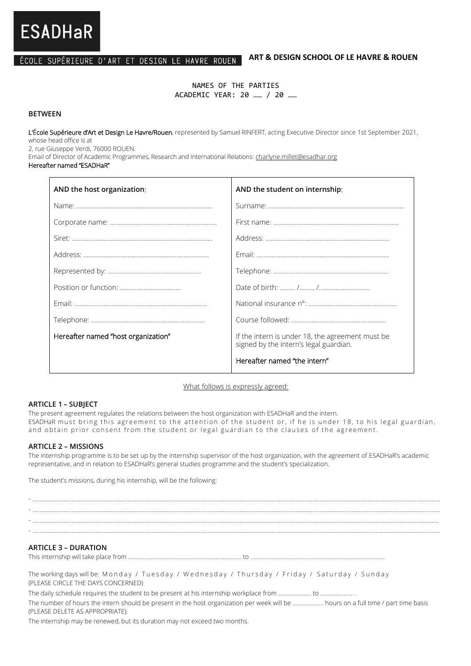## ÉCOLE SUPÉRIEURE D'ART ET DESIGN LE HAVRE ROUEN

#### **ART & DESIGN SCHOOL OF LE HAVRE & ROUEN**

NAMES OF THE PARTIES ACADEMIC YEAR: 20 …… / 20 ……

#### **BETWEEN**

**ESADHaR** 

L'École Supérieure d'Art et Design Le Havre/Rouen, represented by Samuel RINFERT, acting Executive Director since 1st September 2021, whose head office is at

2, rue Giuseppe Verdi, 76000 ROUEN.

Email of Director of Academic Programmes, Research and International Relations: charlyne.millet@esadhar.org

#### Hereafter named "ESADHaR"

| AND the host organization:          | AND the student on internship:                                                             |
|-------------------------------------|--------------------------------------------------------------------------------------------|
|                                     |                                                                                            |
|                                     |                                                                                            |
|                                     |                                                                                            |
|                                     |                                                                                            |
|                                     |                                                                                            |
|                                     |                                                                                            |
|                                     |                                                                                            |
|                                     |                                                                                            |
| Hereafter named "host organization" | If the intern is under 18, the agreement must be<br>signed by the intern's legal guardian. |
|                                     | Hereafter named "the intern"                                                               |

What follows is expressly agreed:

#### **ARTICLE 1 – SUBJECT**

The present agreement regulates the relations between the host organization with ESADHaR and the intern. ESADHaR must bring this agreement to the attention of the student or, if he is under 18, to his legal guardian, and obtain prior consent from the student or legal guardian to the clauses of the agreement.

#### **ARTICLE 2 – MISSIONS**

The internship programme is to be set up by the internship supervisor of the host organization, with the agreement of ESADHaR's academic representative, and in relation to ESADHaR's general studies programme and the student's specialization.

The student's missions, during his internship, will be the following:

- ………………..………………..………………..………………..………………..………………..………………..………………..………………..………………..………………..……………….. - ………………..………………..………………..………………..………………..………………..………………..………………..………………..………………..………………..……………….. - ………………..………………..………………..………………..………………..………………..………………..………………..………………..………………..………………..……………….

# **ARTICLE 3 – DURATION**

This internship will take place from ........................................................................... to .........................................................................................

The working days will be: M onday / Tuesday / Wednesday / Thursday / Friday / Saturday / Sunday (PLEASE CIRCLE THE DAYS CONCERNED)

The daily schedule requires the student to be present at his internship workplace from ………………… to ………………… .

The number of hours the intern should be present in the host organization per week will be ……………….. hours on a full time / part time basis (PLEASE DELETE AS APPROPRIATE).

The internship may be renewed, but its duration may not exceed two months.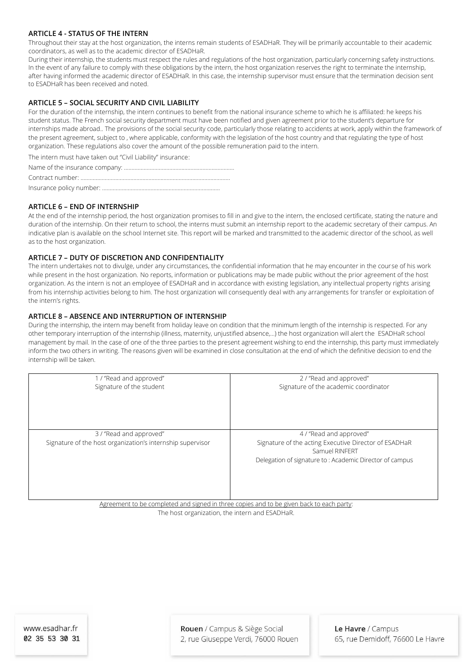## **ARTICLE 4 - STATUS OF THE INTERN**

Throughout their stay at the host organization, the interns remain students of ESADHaR. They will be primarily accountable to their academic coordinators, as well as to the academic director of ESADHaR.

During their internship, the students must respect the rules and regulations of the host organization, particularly concerning safety instructions. In the event of any failure to comply with these obligations by the intern, the host organization reserves the right to terminate the internship, after having informed the academic director of ESADHaR. In this case, the internship supervisor must ensure that the termination decision sent to ESADHaR has been received and noted.

# **ARTICLE 5 – SOCIAL SECURITY AND CIVIL LIABILITY**

For the duration of the internship, the intern continues to benefit from the national insurance scheme to which he is affiliated: he keeps his student status. The French social security department must have been notified and given agreement prior to the student's departure for internships made abroad.. The provisions of the social security code, particularly those relating to accidents at work, apply within the framework of the present agreement, subject to , where applicable, conformity with the legislation of the host country and that regulating the type of host organization. These regulations also cover the amount of the possible remuneration paid to the intern.

The intern must have taken out "Civil Liability" insurance:

Insurance policy number: …………………………………………………………..……….

## **ARTICLE 6 – END OF INTERNSHIP**

At the end of the internship period, the host organization promises to fill in and give to the intern, the enclosed certificate, stating the nature and duration of the internship. On their return to school, the interns must submit an internship report to the academic secretary of their campus. An indicative plan is available on the school Internet site. This report will be marked and transmitted to the academic director of the school, as well as to the host organization.

## **ARTICLE 7 – DUTY OF DISCRETION AND CONFIDENTIALITY**

The intern undertakes not to divulge, under any circumstances, the confidential information that he may encounter in the course of his work while present in the host organization. No reports, information or publications may be made public without the prior agreement of the host organization. As the intern is not an employee of ESADHaR and in accordance with existing legislation, any intellectual property rights arising from his internship activities belong to him. The host organization will consequently deal with any arrangements for transfer or exploitation of the intern's rights.

## **ARTICLE 8 – ABSENCE AND INTERRUPTION OF INTERNSHIP**

During the internship, the intern may benefit from holiday leave on condition that the minimum length of the internship is respected. For any other temporary interruption of the internship (illness, maternity, unjustified absence,…) the host organization will alert the ESADHaR school management by mail. In the case of one of the three parties to the present agreement wishing to end the internship, this party must immediately inform the two others in writing. The reasons given will be examined in close consultation at the end of which the definitive decision to end the internship will be taken.

| 1 / "Read and approved"<br>Signature of the student                                      | 2/ "Read and approved"<br>Signature of the academic coordinator                                    |
|------------------------------------------------------------------------------------------|----------------------------------------------------------------------------------------------------|
| 3 / "Read and approved"<br>Signature of the host organization's internship supervisor    | 4 / "Read and approved"<br>Signature of the acting Executive Director of ESADHaR<br>Samuel RINFFRT |
| Agreement to be completed and signed in three copies and to be given back to each party: | Delegation of signature to: Academic Director of campus                                            |

Agreement to be completed and signed in three copies and to be given back to each party: The host organization, the intern and ESADHaR.